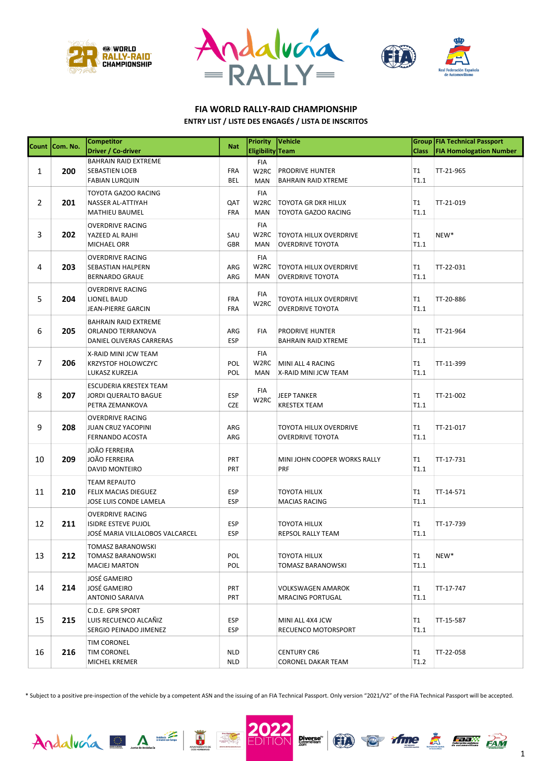





#### FIA WORLD RALLY-RAID CHAMPIONSHIP ENTRY LIST / LISTE DES ENGAGÉS / LISTA DE INSCRITOS

|                | Count Com. No. | <b>Competitor</b>                              | <b>Nat</b> | <b>Priority</b>   | Vehicle                              |              | Group FIA Technical Passport   |
|----------------|----------------|------------------------------------------------|------------|-------------------|--------------------------------------|--------------|--------------------------------|
|                |                | Driver / Co-driver                             |            | Eligibility Team  |                                      | <b>Class</b> | <b>FIA Homologation Number</b> |
|                |                | <b>BAHRAIN RAID EXTREME</b>                    |            | FIA               |                                      |              |                                |
| 1              | 200            | SEBASTIEN LOEB                                 | <b>FRA</b> | W2RC              | <b>PRODRIVE HUNTER</b>               | T1           | TT-21-965                      |
|                |                | <b>FABIAN LURQUIN</b>                          | <b>BEL</b> | <b>MAN</b>        | <b>BAHRAIN RAID XTREME</b>           | T1.1         |                                |
|                |                | <b>TOYOTA GAZOO RACING</b>                     |            | FIA               |                                      |              |                                |
| $\overline{2}$ | 201            | NASSER AL-ATTIYAH                              | QAT        | W <sub>2</sub> RC | <b>TOYOTA GR DKR HILUX</b>           | T1           | TT-21-019                      |
|                |                | <b>MATHIEU BAUMEL</b>                          | <b>FRA</b> | <b>MAN</b>        | TOYOTA GAZOO RACING                  | T1.1         |                                |
|                |                | <b>OVERDRIVE RACING</b>                        |            | FIA               |                                      |              |                                |
| 3              | 202            | YAZEED AL RAJHI                                | SAU        | W <sub>2</sub> RC | <b>TOYOTA HILUX OVERDRIVE</b>        | T1           | NEW*                           |
|                |                | MICHAEL ORR                                    | <b>GBR</b> | MAN               | <b>OVERDRIVE TOYOTA</b>              | T1.1         |                                |
|                |                | <b>OVERDRIVE RACING</b>                        |            | <b>FIA</b>        |                                      |              |                                |
| 4              | 203            | SEBASTIAN HALPERN                              | ARG        | W2RC              | <b>TOYOTA HILUX OVERDRIVE</b>        | T1           | TT-22-031                      |
|                |                | <b>BERNARDO GRAUE</b>                          | ARG        | MAN               | <b>OVERDRIVE TOYOTA</b>              | T1.1         |                                |
|                |                | <b>OVERDRIVE RACING</b>                        |            |                   |                                      |              |                                |
| 5              | 204            | <b>LIONEL BAUD</b>                             | <b>FRA</b> | FIA               | TOYOTA HILUX OVERDRIVE               | T1           | TT-20-886                      |
|                |                | JEAN-PIERRE GARCIN                             | <b>FRA</b> | W <sub>2</sub> RC | <b>OVERDRIVE TOYOTA</b>              | T1.1         |                                |
|                |                |                                                |            |                   |                                      |              |                                |
|                |                | <b>BAHRAIN RAID EXTREME</b>                    |            |                   |                                      |              |                                |
| 6              | 205            | ORLANDO TERRANOVA                              | ARG        | FIA               | PRODRIVE HUNTER                      | T1           | TT-21-964                      |
|                |                | DANIEL OLIVERAS CARRERAS                       | <b>ESP</b> |                   | <b>BAHRAIN RAID XTREME</b>           | T1.1         |                                |
|                |                | X-RAID MINI JCW TEAM                           |            | FIA               |                                      |              |                                |
| $\overline{7}$ | 206            | <b>KRZYSTOF HOLOWCZYC</b>                      | POL        | W2RC              | MINI ALL 4 RACING                    | T1           | TT-11-399                      |
|                |                | LUKASZ KURZEJA                                 | POL        | <b>MAN</b>        | X-RAID MINI JCW TEAM                 | T1.1         |                                |
|                |                | ESCUDERIA KRESTEX TEAM                         |            |                   |                                      |              |                                |
| 8              | 207            | <b>JORDI QUERALTO BAGUE</b>                    | <b>ESP</b> | FIA               | <b>JEEP TANKER</b>                   | T1           | TT-21-002                      |
|                |                | PETRA ZEMANKOVA                                | <b>CZE</b> | W <sub>2</sub> RC | <b>KRESTEX TEAM</b>                  | T1.1         |                                |
|                |                | <b>OVERDRIVE RACING</b>                        |            |                   |                                      |              |                                |
| 9              | 208            | <b>JUAN CRUZ YACOPINI</b>                      | ARG        |                   | TOYOTA HILUX OVERDRIVE               | T1           | TT-21-017                      |
|                |                | FERNANDO ACOSTA                                | ARG        |                   | <b>OVERDRIVE TOYOTA</b>              | T1.1         |                                |
|                |                | <b>JOÃO FERREIRA</b>                           |            |                   |                                      |              |                                |
| 10             | 209            | <b>JOÃO FERREIRA</b>                           | <b>PRT</b> |                   | MINI JOHN COOPER WORKS RALLY         | T1           | TT-17-731                      |
|                |                | DAVID MONTEIRO                                 | PRT        |                   | PRF                                  | T1.1         |                                |
|                |                |                                                |            |                   |                                      |              |                                |
| 11             | 210            | <b>TEAM REPAUTO</b>                            | <b>ESP</b> |                   |                                      | T1           |                                |
|                |                | FELIX MACIAS DIEGUEZ<br>JOSE LUIS CONDE LAMELA | <b>ESP</b> |                   | TOYOTA HILUX<br><b>MACIAS RACING</b> | T1.1         | TT-14-571                      |
|                |                |                                                |            |                   |                                      |              |                                |
|                |                | <b>OVERDRIVE RACING</b>                        |            |                   |                                      |              |                                |
| 12             | 211            | <b>ISIDRE ESTEVE PUJOL</b>                     | <b>ESP</b> |                   | TOYOTA HILUX                         | T1           | TT-17-739                      |
|                |                | JOSÉ MARIA VILLALOBOS VALCARCEL                | <b>ESP</b> |                   | REPSOL RALLY TEAM                    | T1.1         |                                |
|                |                | TOMASZ BARANOWSKI                              |            |                   |                                      |              |                                |
| 13             | 212            | TOMASZ BARANOWSKI                              | POL        |                   | TOYOTA HILUX                         | T1           | NEW*                           |
|                |                | <b>MACIEJ MARTON</b>                           | POL        |                   | TOMASZ BARANOWSKI                    | T1.1         |                                |
|                |                | JOSÉ GAMEIRO                                   |            |                   |                                      |              |                                |
| 14             | 214            | JOSÉ GAMEIRO                                   | <b>PRT</b> |                   | <b>VOLKSWAGEN AMAROK</b>             | T1           | TT-17-747                      |
|                |                | <b>ANTONIO SARAIVA</b>                         | <b>PRT</b> |                   | <b>MRACING PORTUGAL</b>              | T1.1         |                                |
|                |                | C.D.E. GPR SPORT                               |            |                   |                                      |              |                                |
| 15             | 215            | LUIS RECUENCO ALCAÑIZ                          | <b>ESP</b> |                   | MINI ALL 4X4 JCW                     | T1           | TT-15-587                      |
|                |                | SERGIO PEINADO JIMENEZ                         | <b>ESP</b> |                   | <b>RECUENCO MOTORSPORT</b>           | T1.1         |                                |
|                |                | TIM CORONEL                                    |            |                   |                                      |              |                                |
| 16             | 216            | TIM CORONEL                                    | <b>NLD</b> |                   | <b>CENTURY CR6</b>                   | T1           | TT-22-058                      |
|                |                | MICHEL KREMER                                  | <b>NLD</b> |                   | CORONEL DAKAR TEAM                   | T1.2         |                                |
|                |                |                                                |            |                   |                                      |              |                                |

\* Subject to a positive pre-inspection of the vehicle by a competent ASN and the issuing of an FIA Technical Passport. Only version "2021/V2" of the FIA Technical Passport will be accepted.

H







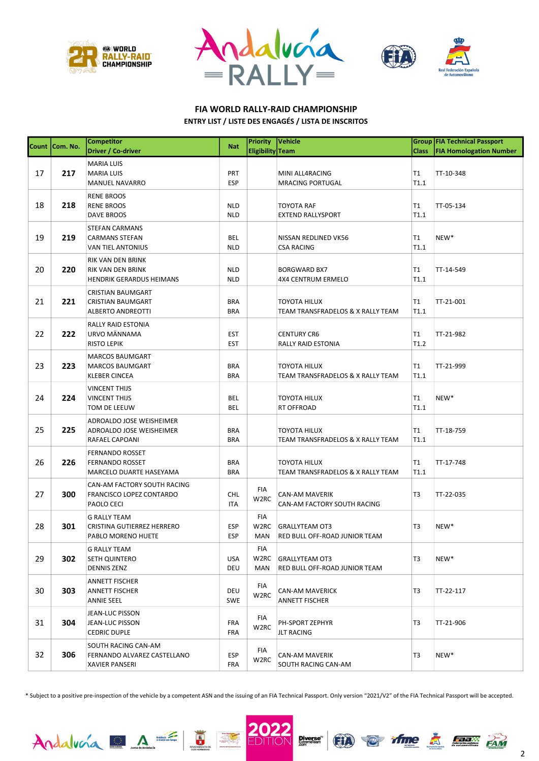





#### FIA WORLD RALLY-RAID CHAMPIONSHIP ENTRY LIST / LISTE DES ENGAGÉS / LISTA DE INSCRITOS

|    | Count   Com. No. | <b>Competitor</b><br>Driver / Co-driver                                     | <b>Nat</b>               | Priority<br>Eligibility Team    | Vehicle                                                  | <b>Class</b> | Group FIA Technical Passport<br><b>FIA Homologation Number</b> |
|----|------------------|-----------------------------------------------------------------------------|--------------------------|---------------------------------|----------------------------------------------------------|--------------|----------------------------------------------------------------|
| 17 | 217              | <b>MARIA LUIS</b><br><b>MARIA LUIS</b><br><b>MANUEL NAVARRO</b>             | <b>PRT</b><br><b>ESP</b> |                                 | MINI ALL4RACING<br><b>MRACING PORTUGAL</b>               | Τ1<br>T1.1   | TT-10-348                                                      |
| 18 | 218              | <b>RENE BROOS</b><br><b>RENE BROOS</b><br>DAVE BROOS                        | <b>NLD</b><br><b>NLD</b> |                                 | TOYOTA RAF<br><b>EXTEND RALLYSPORT</b>                   | T1<br>T1.1   | TT-05-134                                                      |
| 19 | 219              | <b>STEFAN CARMANS</b><br><b>CARMANS STEFAN</b><br>VAN TIEL ANTONIUS         | BEL<br><b>NLD</b>        |                                 | NISSAN REDLINED VK56<br><b>CSA RACING</b>                | Τ1<br>T1.1   | NEW*                                                           |
| 20 | 220              | RIK VAN DEN BRINK<br>RIK VAN DEN BRINK<br><b>HENDRIK GERARDUS HEIMANS</b>   | <b>NLD</b><br><b>NLD</b> |                                 | <b>BORGWARD BX7</b><br><b>4X4 CENTRUM ERMELO</b>         | Τ1<br>T1.1   | TT-14-549                                                      |
| 21 | 221              | <b>CRISTIAN BAUMGART</b><br><b>CRISTIAN BAUMGART</b><br>ALBERTO ANDREOTTI   | <b>BRA</b><br><b>BRA</b> |                                 | TOYOTA HILUX<br>TEAM TRANSFRADELOS & X RALLY TEAM        | T1<br>T1.1   | TT-21-001                                                      |
| 22 | 222              | RALLY RAID ESTONIA<br>URVO MÄNNAMA<br><b>RISTO LEPIK</b>                    | <b>EST</b><br><b>EST</b> |                                 | <b>CENTURY CR6</b><br>RALLY RAID ESTONIA                 | T1<br>T1.2   | TT-21-982                                                      |
| 23 | 223              | <b>MARCOS BAUMGART</b><br><b>MARCOS BAUMGART</b><br><b>KLEBER CINCEA</b>    | <b>BRA</b><br><b>BRA</b> |                                 | <b>TOYOTA HILUX</b><br>TEAM TRANSFRADELOS & X RALLY TEAM | T1<br>T1.1   | TT-21-999                                                      |
| 24 | 224              | <b>VINCENT THIJS</b><br>VINCENT THIJS<br>TOM DE LEEUW                       | BEL<br>BEL               |                                 | <b>TOYOTA HILUX</b><br>RT OFFROAD                        | Τ1<br>T1.1   | NEW*                                                           |
| 25 | 225              | ADROALDO JOSE WEISHEIMER<br>ADROALDO JOSE WEISHEIMER<br>RAFAEL CAPOANI      | <b>BRA</b><br><b>BRA</b> |                                 | <b>TOYOTA HILUX</b><br>TEAM TRANSFRADELOS & X RALLY TEAM | Τ1<br>T1.1   | TT-18-759                                                      |
| 26 | 226              | <b>FERNANDO ROSSET</b><br><b>FERNANDO ROSSET</b><br>MARCELO DUARTE HASEYAMA | <b>BRA</b><br><b>BRA</b> |                                 | <b>TOYOTA HILUX</b><br>TEAM TRANSFRADELOS & X RALLY TEAM | Τ1<br>T1.1   | TT-17-748                                                      |
| 27 | 300              | CAN-AM FACTORY SOUTH RACING<br>FRANCISCO LOPEZ CONTARDO<br>PAOLO CECI       | CHL<br><b>ITA</b>        | FIA<br>W <sub>2</sub> RC        | CAN-AM MAVERIK<br>CAN-AM FACTORY SOUTH RACING            | T3           | TT-22-035                                                      |
| 28 | 301              | <b>G RALLY TEAM</b><br>CRISTINA GUTIERREZ HERRERO<br>PABLO MORENO HUETE     | <b>ESP</b><br><b>ESP</b> | FIA<br>W <sub>2</sub> RC<br>MAN | <b>GRALLYTEAM OT3</b><br>RED BULL OFF-ROAD JUNIOR TEAM   | T3           | NEW*                                                           |
| 29 | 302              | <b>G RALLY TEAM</b><br>SETH QUINTERO<br><b>DENNIS ZENZ</b>                  | <b>USA</b><br>DEU        | FIA<br>W <sub>2</sub> RC<br>MAN | <b>GRALLYTEAM OT3</b><br>RED BULL OFF-ROAD JUNIOR TEAM   | T3           | NEW*                                                           |
| 30 | 303              | ANNETT FISCHER<br>ANNETT FISCHER<br>ANNIE SEEL                              | DEU<br>SWE               | FIA<br>W <sub>2</sub> RC        | <b>CAN-AM MAVERICK</b><br><b>ANNETT FISCHER</b>          | T3           | TT-22-117                                                      |
| 31 | 304              | JEAN-LUC PISSON<br>JEAN-LUC PISSON<br><b>CEDRIC DUPLE</b>                   | <b>FRA</b><br>FRA        | FIA<br>W <sub>2</sub> RC        | PH-SPORT ZEPHYR<br><b>JLT RACING</b>                     | T3           | TT-21-906                                                      |
| 32 | 306              | SOUTH RACING CAN-AM<br>FERNANDO ALVAREZ CASTELLANO<br><b>XAVIER PANSERI</b> | ESP<br><b>FRA</b>        | FIA<br>W <sub>2</sub> RC        | CAN-AM MAVERIK<br>SOUTH RACING CAN-AM                    | T3           | NEW*                                                           |

\* Subject to a positive pre-inspection of the vehicle by a competent ASN and the issuing of an FIA Technical Passport. Only version "2021/V2" of the FIA Technical Passport will be accepted.





H





2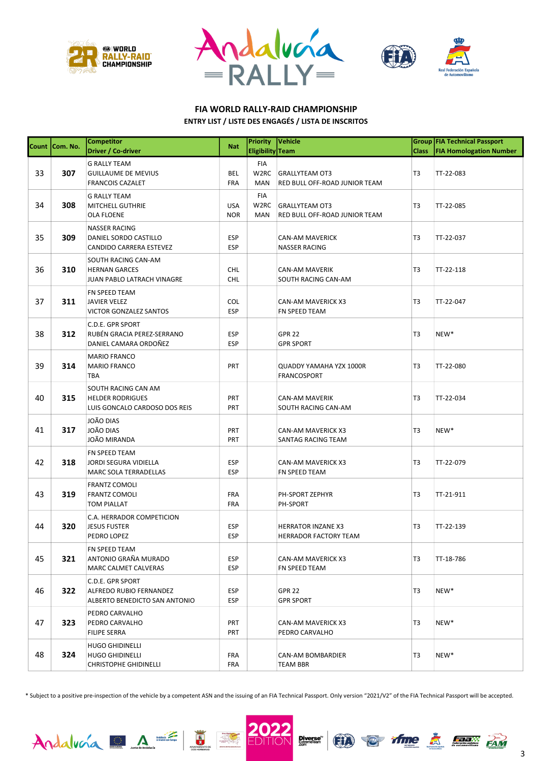





### FIA WORLD RALLY-RAID CHAMPIONSHIP

#### ENTRY LIST / LISTE DES ENGAGÉS / LISTA DE INSCRITOS

|    | Count Com. No. | <b>Competitor</b><br>Driver / Co-driver                                          | <b>Nat</b>               | <b>Priority</b><br>Eligibility Team | Vehicle                                                | <b>Class</b>   | Group FIA Technical Passport<br><b>FIA Homologation Number</b> |
|----|----------------|----------------------------------------------------------------------------------|--------------------------|-------------------------------------|--------------------------------------------------------|----------------|----------------------------------------------------------------|
| 33 | 307            | <b>G RALLY TEAM</b><br><b>GUILLAUME DE MEVIUS</b><br><b>FRANCOIS CAZALET</b>     | <b>BEL</b><br>FRA        | FIA<br>W2RC<br>MAN                  | <b>GRALLYTEAM OT3</b><br>RED BULL OFF-ROAD JUNIOR TEAM | T <sub>3</sub> | TT-22-083                                                      |
| 34 | 308            | <b>G RALLY TEAM</b><br>MITCHELL GUTHRIE<br>OLA FLOENE                            | <b>USA</b><br><b>NOR</b> | FIA<br>W <sub>2</sub> RC<br>MAN     | <b>GRALLYTEAM OT3</b><br>RED BULL OFF-ROAD JUNIOR TEAM | T <sub>3</sub> | TT-22-085                                                      |
| 35 | 309            | <b>NASSER RACING</b><br>DANIEL SORDO CASTILLO<br>CANDIDO CARRERA ESTEVEZ         | <b>ESP</b><br><b>ESP</b> |                                     | <b>CAN-AM MAVERICK</b><br><b>NASSER RACING</b>         | T <sub>3</sub> | TT-22-037                                                      |
| 36 | 310            | SOUTH RACING CAN-AM<br><b>HERNAN GARCES</b><br>JUAN PABLO LATRACH VINAGRE        | <b>CHL</b><br><b>CHL</b> |                                     | <b>CAN-AM MAVERIK</b><br>SOUTH RACING CAN-AM           | T3             | TT-22-118                                                      |
| 37 | 311            | FN SPEED TEAM<br><b>JAVIER VELEZ</b><br><b>VICTOR GONZALEZ SANTOS</b>            | COL<br><b>ESP</b>        |                                     | <b>CAN-AM MAVERICK X3</b><br>FN SPEED TEAM             | T <sub>3</sub> | TT-22-047                                                      |
| 38 | 312            | C.D.E. GPR SPORT<br>RUBÉN GRACIA PEREZ-SERRANO<br>DANIEL CAMARA ORDOÑEZ          | <b>ESP</b><br><b>ESP</b> |                                     | <b>GPR 22</b><br><b>GPR SPORT</b>                      | T <sub>3</sub> | NEW*                                                           |
| 39 | 314            | <b>MARIO FRANCO</b><br><b>MARIO FRANCO</b><br>TBA                                | <b>PRT</b>               |                                     | <b>QUADDY YAMAHA YZX 1000R</b><br>FRANCOSPORT          | T3             | TT-22-080                                                      |
| 40 | 315            | SOUTH RACING CAN AM<br><b>HELDER RODRIGUES</b><br>LUIS GONCALO CARDOSO DOS REIS  | PRT<br>PRT               |                                     | CAN-AM MAVERIK<br>SOUTH RACING CAN-AM                  | T <sub>3</sub> | TT-22-034                                                      |
| 41 | 317            | <b>JOÃO DIAS</b><br><b>JOÃO DIAS</b><br>JOÃO MIRANDA                             | <b>PRT</b><br><b>PRT</b> |                                     | CAN-AM MAVERICK X3<br>SANTAG RACING TEAM               | T <sub>3</sub> | NEW*                                                           |
| 42 | 318            | FN SPEED TEAM<br><b>JORDI SEGURA VIDIELLA</b><br>MARC SOLA TERRADELLAS           | <b>ESP</b><br><b>ESP</b> |                                     | <b>CAN-AM MAVERICK X3</b><br>FN SPEED TEAM             | T3             | TT-22-079                                                      |
| 43 | 319            | <b>FRANTZ COMOLI</b><br><b>FRANTZ COMOLI</b><br><b>TOM PIALLAT</b>               | FRA<br><b>FRA</b>        |                                     | PH-SPORT ZEPHYR<br>PH-SPORT                            | T <sub>3</sub> | TT-21-911                                                      |
| 44 | 320            | C.A. HERRADOR COMPETICION<br><b>JESUS FUSTER</b><br>PEDRO LOPEZ                  | <b>ESP</b><br><b>ESP</b> |                                     | <b>HERRATOR INZANE X3</b><br>HERRADOR FACTORY TEAM     | T3             | TT-22-139                                                      |
| 45 | 321            | FN SPEED TEAM<br>ANTONIO GRAÑA MURADO<br>MARC CALMET CALVERAS                    | ESP<br>ESP               |                                     | CAN-AM MAVERICK X3<br>FN SPEED TEAM                    | T3             | TT-18-786                                                      |
| 46 | 322            | C.D.E. GPR SPORT<br>ALFREDO RUBIO FERNANDEZ<br>ALBERTO BENEDICTO SAN ANTONIO     | ESP<br>ESP               |                                     | GPR 22<br><b>GPR SPORT</b>                             | T3             | NEW <sup>*</sup>                                               |
| 47 | 323            | PEDRO CARVALHO<br>PEDRO CARVALHO<br><b>FILIPE SERRA</b>                          | <b>PRT</b><br><b>PRT</b> |                                     | <b>CAN-AM MAVERICK X3</b><br>PEDRO CARVALHO            | T3             | NEW <sup>*</sup>                                               |
| 48 | 324            | <b>HUGO GHIDINELLI</b><br><b>HUGO GHIDINELLI</b><br><b>CHRISTOPHE GHIDINELLI</b> | <b>FRA</b><br><b>FRA</b> |                                     | CAN-AM BOMBARDIER<br>TEAM BBR                          | T3             | NEW*                                                           |

\* Subject to a positive pre-inspection of the vehicle by a competent ASN and the issuing of an FIA Technical Passport. Only version "2021/V2" of the FIA Technical Passport will be accepted.





H



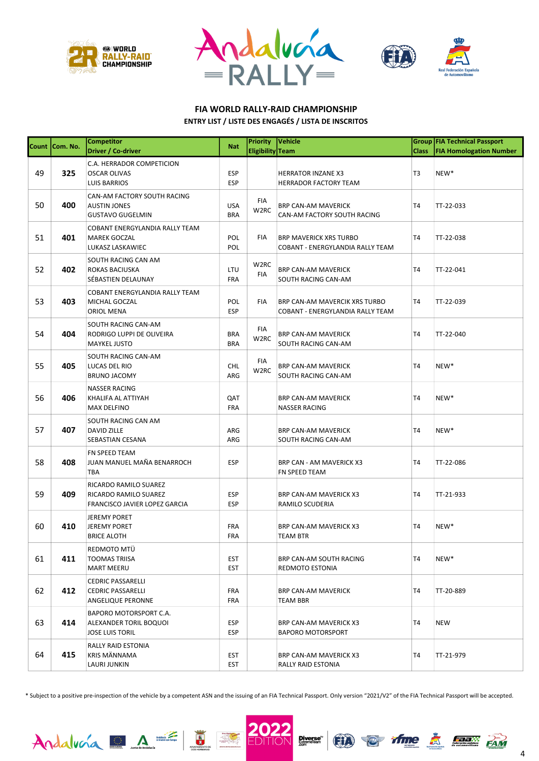





## FIA WORLD RALLY-RAID CHAMPIONSHIP

|  | <b>ENTRY LIST / LISTE DES ENGAGÉS / LISTA DE INSCRITOS</b> |  |
|--|------------------------------------------------------------|--|
|--|------------------------------------------------------------|--|

|    | Count Com. No. | <b>Competitor</b>                                                               | <b>Nat</b>               | <b>Priority</b>          | Vehicle                                                                  |                | Group FIA Technical Passport   |
|----|----------------|---------------------------------------------------------------------------------|--------------------------|--------------------------|--------------------------------------------------------------------------|----------------|--------------------------------|
|    |                | Driver / Co-driver                                                              |                          | Eligibility Team         |                                                                          | <b>Class</b>   | <b>FIA Homologation Number</b> |
| 49 | 325            | C.A. HERRADOR COMPETICION<br><b>OSCAR OLIVAS</b><br>LUIS BARRIOS                | <b>ESP</b><br><b>ESP</b> |                          | <b>HERRATOR INZANE X3</b><br><b>HERRADOR FACTORY TEAM</b>                | T <sub>3</sub> | NEW*                           |
| 50 | 400            | CAN-AM FACTORY SOUTH RACING<br><b>AUSTIN JONES</b><br><b>GUSTAVO GUGELMIN</b>   | <b>USA</b><br><b>BRA</b> | FIA<br>W <sub>2</sub> RC | <b>BRP CAN-AM MAVERICK</b><br>CAN-AM FACTORY SOUTH RACING                | T <sub>4</sub> | TT-22-033                      |
| 51 | 401            | COBANT ENERGYLANDIA RALLY TEAM<br><b>MAREK GOCZAL</b><br>LUKASZ LASKAWIEC       | POL<br>POL               | FIA                      | <b>BRP MAVERICK XRS TURBO</b><br><b>COBANT - ENERGYLANDIA RALLY TEAM</b> | T <sub>4</sub> | TT-22-038                      |
| 52 | 402            | SOUTH RACING CAN AM<br>ROKAS BACIUSKA<br>SÉBASTIEN DELAUNAY                     | LTU<br><b>FRA</b>        | W <sub>2</sub> RC<br>FIA | <b>BRP CAN-AM MAVERICK</b><br>SOUTH RACING CAN-AM                        | T <sub>4</sub> | TT-22-041                      |
| 53 | 403            | COBANT ENERGYLANDIA RALLY TEAM<br>MICHAL GOCZAL<br>ORIOL MENA                   | POL<br><b>ESP</b>        | FIA                      | BRP CAN-AM MAVERCIK XRS TURBO<br>COBANT - ENERGYLANDIA RALLY TEAM        | T <sub>4</sub> | TT-22-039                      |
| 54 | 404            | SOUTH RACING CAN-AM<br>RODRIGO LUPPI DE OLIVEIRA<br><b>MAYKEL JUSTO</b>         | <b>BRA</b><br><b>BRA</b> | FIA<br>W2RC              | <b>BRP CAN-AM MAVERICK</b><br>SOUTH RACING CAN-AM                        | T <sub>4</sub> | TT-22-040                      |
| 55 | 405            | SOUTH RACING CAN-AM<br>LUCAS DEL RIO<br><b>BRUNO JACOMY</b>                     | <b>CHL</b><br>ARG        | FIA<br>W2RC              | <b>BRP CAN-AM MAVERICK</b><br>SOUTH RACING CAN-AM                        | T <sub>4</sub> | NEW*                           |
| 56 | 406            | <b>NASSER RACING</b><br>KHALIFA AL ATTIYAH<br>MAX DELFINO                       | QAT<br><b>FRA</b>        |                          | <b>BRP CAN-AM MAVERICK</b><br><b>NASSER RACING</b>                       | T <sub>4</sub> | NEW*                           |
| 57 | 407            | SOUTH RACING CAN AM<br>DAVID ZILLE<br>SEBASTIAN CESANA                          | ARG<br>ARG               |                          | <b>BRP CAN-AM MAVERICK</b><br>SOUTH RACING CAN-AM                        | T <sub>4</sub> | NEW*                           |
| 58 | 408            | FN SPEED TEAM<br>JUAN MANUEL MAÑA BENARROCH<br>TBA                              | <b>ESP</b>               |                          | BRP CAN - AM MAVERICK X3<br>FN SPEED TEAM                                | T4             | TT-22-086                      |
| 59 | 409            | RICARDO RAMILO SUAREZ<br>RICARDO RAMILO SUAREZ<br>FRANCISCO JAVIER LOPEZ GARCIA | <b>ESP</b><br><b>ESP</b> |                          | BRP CAN-AM MAVERICK X3<br>RAMILO SCUDERIA                                | T4             | TT-21-933                      |
| 60 | 410            | <b>JEREMY PORET</b><br><b>JEREMY PORET</b><br><b>BRICE ALOTH</b>                | <b>FRA</b><br><b>FRA</b> |                          | <b>BRP CAN-AM MAVERICK X3</b><br><b>TEAM BTR</b>                         | T4             | NEW*                           |
| 61 | 411            | REDMOTO MTÜ<br><b>TOOMAS TRIISA</b><br><b>MART MEERU</b>                        | <b>EST</b><br><b>EST</b> |                          | BRP CAN-AM SOUTH RACING<br>REDMOTO ESTONIA                               | T <sub>4</sub> | NEW*                           |
| 62 | 412            | <b>CEDRIC PASSARELLI</b><br><b>CEDRIC PASSARELLI</b><br>ANGELIQUE PERONNE       | <b>FRA</b><br><b>FRA</b> |                          | BRP CAN-AM MAVERICK<br>TEAM BBR                                          | T4             | TT-20-889                      |
| 63 | 414            | BAPORO MOTORSPORT C.A.<br>ALEXANDER TORIL BOQUOI<br><b>JOSE LUIS TORIL</b>      | <b>ESP</b><br><b>ESP</b> |                          | BRP CAN-AM MAVERICK X3<br><b>BAPORO MOTORSPORT</b>                       | T4             | <b>NEW</b>                     |
| 64 | 415            | RALLY RAID ESTONIA<br>KRIS MÄNNAMA<br>LAURI JUNKIN                              | <b>EST</b><br><b>EST</b> |                          | BRP CAN-AM MAVERICK X3<br>RALLY RAID ESTONIA                             | T4             | TT-21-979                      |

\* Subject to a positive pre-inspection of the vehicle by a competent ASN and the issuing of an FIA Technical Passport. Only version "2021/V2" of the FIA Technical Passport will be accepted.

E